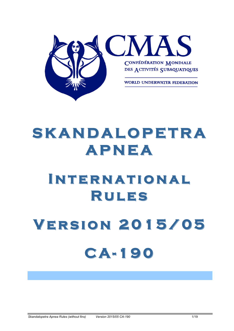

# **SKANDALOPETRA SKANDALOPETRA APNEA**

# **INTERNATIONAL Rules**

# **Version Version 2 0 1 5 / 0 5 C A - 190**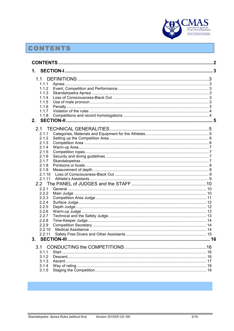

# **CONTENTS**

|                                                                                                          |  | 3 |
|----------------------------------------------------------------------------------------------------------|--|---|
| 1.1<br>1.1.1<br>1.1.2<br>1.1.3<br>1.1.4<br>1.1.5<br>1.1.6<br>1.1.7<br>1.1.8<br>2.                        |  |   |
| 2.1<br>2.1.1<br>2.1.2<br>2.1.3<br>2.1.4<br>2.1.5<br>2.1.6<br>2.1.7<br>2.1.8<br>2.1.9<br>2.1.10<br>2.1.11 |  |   |
| 2.2.1<br>2.2.2<br>2.2.3<br>2.2.4<br>2.2.5<br>2.2.6<br>2.2.7<br>2.2.8<br>2.2.9<br>2.2.10<br>2.2.11<br>3.  |  |   |
| 3.1<br>3.1.1<br>3.1.2<br>3.1.3<br>3.1.4<br>3.1.5                                                         |  |   |

п

**Contract Contract**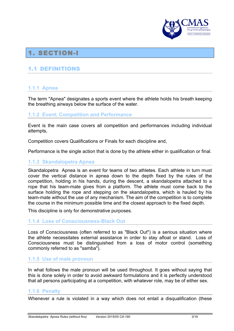

# 1. SECTION-I

#### 1.1 DEFINITIONS

#### **1.1.1 Apnea**

The term "Apnea" designates a sports event where the athlete holds his breath keeping the breathing airways below the surface of the water.

#### **1.1.2 Event, Competition and Performance**

Event is the main case covers all competition and performances including individual attempts,

Competition covers Qualifications or Finals for each discipline and,

Performance is the single action that is done by the athlete either in qualification or final.

#### **1.1.3 Skandalopetra Apnea**

Skandalopetra Apnea is an event for teams of two athletes. Each athlete in turn must cover the vertical distance in apnea down to the depth fixed by the rules of the competition, holding in his hands, during the descent, a skandalopetra attached to a rope that his team-mate gives from a platform. The athlete must come back to the surface holding the rope and stepping on the skandalopetra, which is hauled by his team-mate without the use of any mechanism. The aim of the competition is to complete the course in the minimum possible time and the closest approach to the fixed depth.

This discipline is only for demonstrative purposes.

#### **1.1.4 Loss of Consciousness-Black Out**

Loss of Consciousness (often referred to as "Black Out") is a serious situation where the athlete necessitates external assistance in order to stay afloat or stand. Loss of Consciousness must be distinguished from a loss of motor control (something commonly referred to as "samba").

#### **1.1.5 Use of male pronoun**

In what follows the male pronoun will be used throughout. It goes without saying that this is done solely in order to avoid awkward formulations and it is perfectly understood that all persons participating at a competition, with whatever role, may be of either sex.

#### **1.1.6 Penalty**

Whenever a rule is violated in a way which does not entail a disqualification (these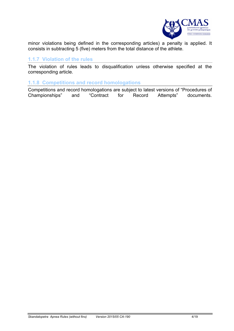

minor violations being defined in the corresponding articles) a penalty is applied. It consists in subtracting 5 (five) meters from the total distance of the athlete.

#### **1.1.7 Violation of the rules**

The violation of rules leads to disqualification unless otherwise specified at the corresponding article.

#### **1.1.8 Competitions and record homologations**

Competitions and record homologations are subject to latest versions of "Procedures of Championships" and "Contract for Record Attempts" documents.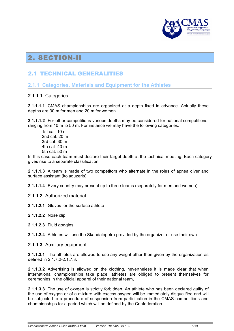

# 2. SECTION-II

## 2.1 TECHNICAL GENERALITIES

#### **2.1.1 Categories, Materials and Equipment for the Athletes**

#### **2.1.1.1** Categories

**2.1.1.1.1** CMAS championships are organized at a depth fixed in advance. Actually these depths are 30 m for men and 20 m for women.

**2.1.1.1.2** For other competitions various depths may be considered for national competitions, ranging from 10 m to 50 m. For instance we may have the following categories:

1st cat: 10 m 2nd cat: 20 m  $3rd$  cat:  $30 \text{ m}$ 4th cat: 40 m 5th cat: 50 m

In this case each team must declare their target depth at the technical meeting. Each category gives rise to a separate classification.

**2.1.1.1.3** A team is made of two competitors who alternate in the roles of apnea diver and surface assistant (kolaouzeris).

**2.1.1.1.4** Every country may present up to three teams (separately for men and women).

**2.1.1.2** Authorized material

**2.1.1.2.1** Gloves for the surface athlete

**2.1.1.2.2** Nose clip.

**2.1.1.2.3** Fluid goggles.

**2.1.1.2.4** Athletes will use the Skandalopetra provided by the organizer or use their own.

**2.1.1.3** Auxiliary equipment

**2.1.1.3.1** The athletes are allowed to use any weight other then given by the organization as defined in 2.1.7.2-2.1.7.3.

**2.1.1.3.2** Advertising is allowed on the clothing, nevertheless it is made clear that when international championships take place, athletes are obliged to present themselves for ceremonies in the official apparel of their national team,

**2.1.1.3.3** The use of oxygen is strictly forbidden. An athlete who has been declared guilty of the use of oxygen or of a mixture with excess oxygen will be immediately disqualified and will be subjected to a procedure of suspension from participation in the CMAS competitions and championships for a period which will be defined by the Confederation.

*Skandalopetra Apnea Rules (without fins) Version 2015/05 CA-190* 5/19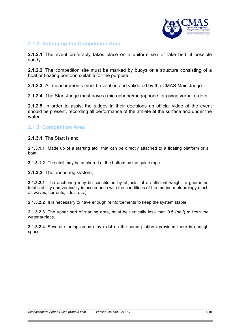

#### **2.1.2 Setting up the Competition Area**

**2.1.2.1** The event preferably takes place on a uniform sea or lake bed, if possible sandy.

**2.1.2.2** The competition site must be marked by buoys or a structure consisting of a boat or floating pontoon suitable for the purpose.

**2.1.2.3** All measurements must be verified and validated by the CMAS Main Judge.

**2.1.2.4** The Start Judge must have a microphone/megaphone for giving verbal orders.

**2.1.2.5** In order to assist the judges in their decisions an official video of the event should be present, recording all performance of the athlete at the surface and under the water.

#### **2.1.3 Competition Area**

**2.1.3.1** The Start Island

**2.1.3.1.1** Made up of a starting atoll that can be directly attached to a floating platform or a boat.

**2.1.3.1.2** The atoll may be anchored at the bottom by the quide rope.

**2.1.3.2** The anchoring system;

**2.1.3.2.1** The anchoring may be constituted by objects, of a sufficient weight to guarantee total stability and verticality in accordance with the conditions of the marine meteorology (such as waves, currents, tides, etc.).

**2.1.3.2.2** It is necessary to have enough reinforcements to keep the system stable.

**2.1.3.2.3** The upper part of starting area, must be vertically less than 0.5 (half) m from the water surface

**2.1.3.2.4** Several starting areas may exist on the same platform provided there is enough space.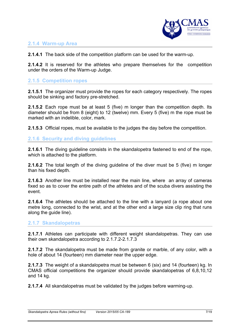

#### **2.1.4 Warm-up Area**

**2.1.4.1** The back side of the competition platform can be used for the warm-up.

**2.1.4.2** It is reserved for the athletes who prepare themselves for the competition under the orders of the Warm-up Judge.

#### **2.1.5 Competition ropes**

**2.1.5.1** The organizer must provide the ropes for each category respectively. The ropes should be sinking and factory pre-stretched.

**2.1.5.2** Each rope must be at least 5 (five) m longer than the competition depth. Its diameter should be from 8 (eight) to 12 (twelve) mm. Every 5 (five) m the rope must be marked with an indelible, color, mark.

**2.1.5.3** Official ropes, must be available to the judges the day before the competition.

**2.1.6 Security and diving guidelines**

**2.1.6.1** The diving guideline consists in the skandalopetra fastened to end of the rope, which is attached to the platform.

**2.1.6.2** The total length of the diving guideline of the diver must be 5 (five) m longer than his fixed depth.

**2.1.6.3** Another line must be installed near the main line, where an array of cameras fixed so as to cover the entire path of the athletes and of the scuba divers assisting the event.

**2.1.6.4** The athletes should be attached to the line with a lanyard (a rope about one metre long, connected to the wrist, and at the other end a large size clip ring that runs along the guide line).

#### **2.1.7 Skandalopetras**

**2.1.7.1** Athletes can participate with different weight skandalopetras. They can use their own skandalopetra according to 2.1.7.2-2.1.7.3

**2.1.7.2** The skandalopetra must be made from granite or marble, of any color, with a hole of about 14 (fourteen) mm diameter near the upper edge.

**2.1.7.3** The weight of a skandalopetra must be between 6 (six) and 14 (fourteen) kg. In CMAS official competitions the organizer should provide skandalopetras of 6,8,10,12 and 14 kg.

**2.1.7.4** All skandalopetras must be validated by the judges before warming-up.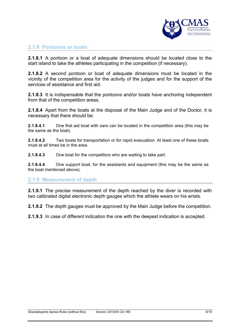

#### **2.1.8 Pontoons or boats**

**2.1.8.1** A pontoon or a boat of adequate dimensions should be located close to the start island to take the athletes participating in the competition (if necessary).

**2.1.8.2** A second pontoon or boat of adequate dimensions must be located in the vicinity of the competition area for the activity of the judges and for the support of the services of assistance and first aid.

**2.1.8.3** It is indispensable that the pontoons and/or boats have anchoring independent from that of the competition areas.

**2.1.8.4** Apart from the boats at the disposal of the Main Judge and of the Doctor, it is necessary that there should be:

**2.1.8.4.1** One first aid boat with oars can be located in the competition area (this may be the same as the boat).

**2.1.8.4.2** Two boats for transportation or for rapid evacuation. At least one of these boats must at all times be in the area.

**2.1.8.4.3** One boat for the competitors who are waiting to take part.

**2.1.8.4.4** One support boat, for the assistants and equipment (this may be the same as the boat mentioned above).

#### **2.1.9 Measurement of depth**

**2.1.9.1** The precise measurement of the depth reached by the diver is recorded with two calibrated digital electronic depth gauges which the athlete wears on his wrists.

**2.1.9.2** The depth gauges must be approved by the Main Judge before the competition.

**2.1.9.3** In case of different indication the one with the deepest indication is accepted.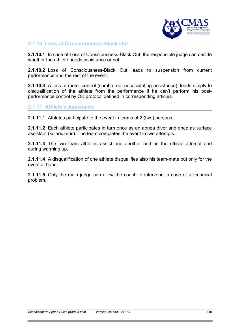

#### **2.1.10 Loss of Consciousness-Black Out**

**2.1.10.1** In case of Loss of Consciousness-Black Out, the responsible judge can decide whether the athlete needs assistance or not.

**2.1.10.2** Loss of Consciousness-Black Out leads to suspension from current performance and the rest of the event.

**2.1.10.3** A loss of motor control (samba, not necessitating assistance), leads simply to disqualification of the athlete from the performance if he can't perform his postperformance control by OK protocol defined in corresponding articles.

#### **2.1.11 Athlete's Assistants**

**2.1.11.1** Athletes participate to the event in teams of 2 (two) persons.

**2.1.11.2** Each athlete participates in turn once as an apnea diver and once as surface assistant (kolaouzeris). The team completes the event in two attempts.

**2.1.11.3** The two team athletes assist one another both in the official attempt and during warming up.

**2.1.11.4** A disqualification of one athlete disqualifies also his team-mate but only for the event at hand.

**2.1.11.5** Only the main judge can allow the coach to intervene in case of a technical problem.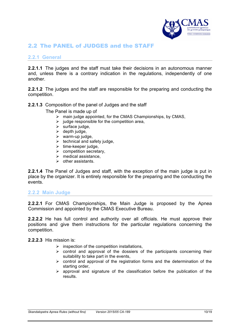

## 2.2 The PANEL of JUDGES and the STAFF

#### **2.2.1 General**

**2.2.1.1** The judges and the staff must take their decisions in an autonomous manner and, unless there is a contrary indication in the regulations, independently of one another.

**2.2.1.2** The judges and the staff are responsible for the preparing and conducting the competition.

#### **2.2.1.3** Composition of the panel of Judges and the staff

The Panel is made up of

- $\triangleright$  main judge appointed, for the CMAS Championships, by CMAS,
- $\triangleright$  judge responsible for the competition area,
- $\triangleright$  surface judge,
- $\triangleright$  depth judge,
- $\triangleright$  warm-up judge,
- $\triangleright$  technical and safety judge,
- $\triangleright$  time-keeper judge,
- $\triangleright$  competition secretary,
- $\triangleright$  medical assistance.
- $\triangleright$  other assistants.

**2.2.1.4** The Panel of Judges and staff, with the exception of the main judge is put in place by the organizer. It is entirely responsible for the preparing and the conducting the events.

#### **2.2.2 Main Judge**

**2.2.2.1** For CMAS Championships, the Main Judge is proposed by the Apnea Commission and appointed by the CMAS Executive Bureau.

**2.2.2.2** He has full control and authority over all officials. He must approve their positions and give them instructions for the particular regulations concerning the competition.

**2.2.2.3** His mission is:

- $\triangleright$  inspection of the competition installations,
- $\triangleright$  control and approval of the dossiers of the participants concerning their suitability to take part in the events,
- $\triangleright$  control and approval of the registration forms and the determination of the starting order,
- $\triangleright$  approval and signature of the classification before the publication of the results.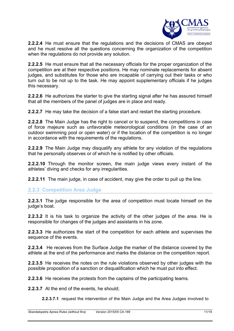

**2.2.2.4** He must ensure that the regulations and the decisions of CMAS are obeyed and he must resolve all the questions concerning the organization of the competition when the regulations do not provide any solution.

**2.2.2.5** He must ensure that all the necessary officials for the proper organization of the competition are at their respective positions. He may nominate replacements for absent judges, and substitutes for those who are incapable of carrying out their tasks or who turn out to be not up to the task. He may appoint supplementary officials if he judges this necessary.

**2.2.2.6** He authorizes the starter to give the starting signal after he has assured himself that all the members of the panel of judges are in place and ready.

**2.2.2.7** He may take the decision of a false start and restart the starting procedure.

**2.2.2.8** The Main Judge has the right to cancel or to suspend, the competitions in case of force majeure such as unfavorable meteorological conditions (in the case of an outdoor swimming pool or open water) or if the location of the competition is no longer in accordance with the requirements of the regulations.

**2.2.2.9** The Main Judge may disqualify any athlete for any violation of the regulations that he personally observes or of which he is notified by other officials.

**2.2.2.10** Through the monitor screen, the main judge views every instant of the athletes' diving and checks for any irregularities.

**2.2.2.11** The main judge, in case of accident, may give the order to pull up the line.

#### **2.2.3 Competition Area Judge**

**2.2.3.1** The judge responsible for the area of competition must locate himself on the judge's boat.

**2.2.3.2** It is his task to organize the activity of the other judges of the area. He is responsible for changes of the judges and assistants in his zone.

**2.2.3.3** He authorizes the start of the competition for each athlete and supervises the sequence of the events.

**2.2.3.4** He receives from the Surface Judge the marker of the distance covered by the athlete at the end of the performance and marks the distance on the competition report.

**2.2.3.5** He receives the notes on the rule violations observed by other judges with the possible proposition of a sanction or disqualification which he must put into effect.

**2.2.3.6** He receives the protests from the captains of the participating teams.

**2.2.3.7** At the end of the events, he should;

**2.2.3.7.1** request the intervention of the Main Judge and the Area Judges involved to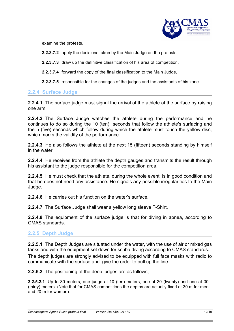

examine the protests,

**2.2.3.7.2** apply the decisions taken by the Main Judge on the protests,

**2.2.3.7.3** draw up the definitive classification of his area of competition,

**2.2.3.7.4** forward the copy of the final classification to the Main Judge,

**2.2.3.7.5** responsible for the changes of the judges and the assistants of his zone.

#### **2.2.4 Surface Judge**

**2.2.4.1** The surface judge must signal the arrival of the athlete at the surface by raising one arm.

**2.2.4.2** The Surface Judge watches the athlete during the performance and he continues to do so during the 10 (ten) seconds that follow the athlete's surfacing and the 5 (five) seconds which follow during which the athlete must touch the yellow disc, which marks the validity of the performance.

**2.2.4.3** He also follows the athlete at the next 15 (fifteen) seconds standing by himself in the water.

**2.2.4.4** He receives from the athlete the depth gauges and transmits the result through his assistant to the judge responsible for the competition area.

**2.2.4.5** He must check that the athlete, during the whole event, is in good condition and that he does not need any assistance. He signals any possible irregularities to the Main Judge.

**2.2.4.6** He carries out his function on the water's surface.

**2.2.4.7** The Surface Judge shall wear a yellow long sleeve T-Shirt.

**2.2.4.8** The equipment of the surface judge is that for diving in apnea, according to CMAS standards.

#### **2.2.5 Depth Judge**

**2.2.5.1** The Depth Judges are situated under the water, with the use of air or mixed gas tanks and with the equipment set down for scuba diving according to CMAS standards.

The depth judges are strongly advised to be equipped with full face masks with radio to communicate with the surface and give the order to pull up the line.

**2.2.5.2** The positioning of the deep judges are as follows;

**2.2.5.2.1** Up to 30 meters; one judge at 10 (ten) meters, one at 20 (twenty) and one at 30 (thirty) meters. (Note that for CMAS competitions the depths are actually fixed at 30 m for men and 20 m for women).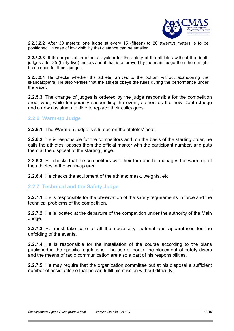

**2.2.5.2.2** After 30 meters; one judge at every 15 (fifteen) to 20 (twenty) meters is to be positioned. In case of low visibility that distance can be smaller.

**2.2.5.2.3** If the organization offers a system for the safety of the athletes without the depth judges after 35 (thirty five) meters and if that is approved by the main judge then there might be no need for those judges.

**2.2.5.2.4** He checks whether the athlete, arrives to the bottom without abandoning the skandalopetra. He also verifies that the athlete obeys the rules during the performance under the water.

**2.2.5.3** The change of judges is ordered by the judge responsible for the competition area, who, while temporarily suspending the event, authorizes the new Depth Judge and a new assistants to dive to replace their colleagues.

#### **2.2.6 Warm-up Judge**

**2.2.6.1** The Warm-up Judge is situated on the athletes' boat.

**2.2.6.2** He is responsible for the competitors and, on the basis of the starting order, he calls the athletes, passes them the official marker with the participant number, and puts them at the disposal of the starting judge.

**2.2.6.3** He checks that the competitors wait their turn and he manages the warm-up of the athletes in the warm-up area.

**2.2.6.4** He checks the equipment of the athlete: mask, weights, etc.

#### **2.2.7 Technical and the Safety Judge**

**2.2.7.1** He is responsible for the observation of the safety requirements in force and the technical problems of the competition.

**2.2.7.2** He is located at the departure of the competition under the authority of the Main Judge.

**2.2.7.3** He must take care of all the necessary material and apparatuses for the unfolding of the events.

**2.2.7.4** He is responsible for the installation of the course according to the plans published in the specific regulations. The use of boats, the placement of safety divers and the means of radio communication are also a part of his responsibilities.

**2.2.7.5** He may require that the organization committee put at his disposal a sufficient number of assistants so that he can fulfill his mission without difficulty.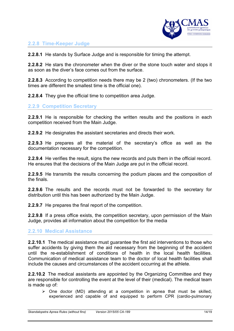

#### **2.2.8 Time-Keeper Judge**

**2.2.8.1** He stands by Surface Judge and is responsible for timing the attempt.

**2.2.8.2** He stars the chronometer when the diver or the stone touch water and stops it as soon as the diver's face comes out from the surface.

**2.2.8.3** According to competition needs there may be 2 (two) chronometers. (If the two times are different the smallest time is the official one).

**2.2.8.4** They give the official time to competition area Judge.

#### **2.2.9 Competition Secretary**

**2.2.9.1** He is responsible for checking the written results and the positions in each competition received from the Main Judge.

**2.2.9.2** He designates the assistant secretaries and directs their work.

**2.2.9.3** He prepares all the material of the secretary's office as well as the documentation necessary for the competition.

**2.2.9.4** He verifies the result, signs the new records and puts them in the official record. He ensures that the decisions of the Main Judge are put in the official record.

**2.2.9.5** He transmits the results concerning the podium places and the composition of the finals.

**2.2.9.6** The results and the records must not be forwarded to the secretary for distribution until this has been authorized by the Main Judge.

**2.2.9.7** He prepares the final report of the competition.

**2.2.9.8** If a press office exists, the competition secretary, upon permission of the Main Judge, provides all information about the competition for the media

#### **2.2.10 Medical Assistance**

**2.2.10.1** The medical assistance must guarantee the first aid interventions to those who suffer accidents by giving them the aid necessary from the beginning of the accident until the re-establishment of conditions of health in the local health facilities. Communication of medical assistance team to the doctor of local health facilities shall include the causes and circumstances of the accident occurring at the athlete.

**2.2.10.2** The medical assistants are appointed by the Organizing Committee and they are responsible for controlling the event at the level of their (medical). The medical team is made up of:

 $\triangleright$  One doctor (MD) attending at a competition in apnea that must be skilled, experienced and capable of and equipped to perform CPR (cardio-pulmonary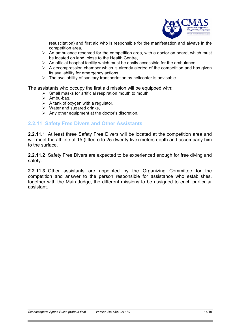

resuscitation) and first aid who is responsible for the manifestation and always in the competition area,

- $\triangleright$  An ambulance reserved for the competition area, with a doctor on board, which must be located on land, close to the Health Centre,
- $\triangleright$  An official hospital facility which must be easily accessible for the ambulance,
- $\triangleright$  A decompression chamber which is already alerted of the competition and has given its availability for emergency actions,
- $\triangleright$  The availability of sanitary transportation by helicopter is advisable.

The assistants who occupy the first aid mission will be equipped with:

- $\triangleright$  Small masks for artificial respiration mouth to mouth,
- $\triangleright$  Ambu-bag,
- $\triangleright$  A tank of oxygen with a regulator,
- $\triangleright$  Water and sugared drinks,
- $\triangleright$  Any other equipment at the doctor's discretion.

#### **2.2.11 Safety Free Divers and Other Assistants**

**2.2.11.1** At least three Safety Free Divers will be located at the competition area and will meet the athlete at 15 (fifteen) to 25 (twenty five) meters depth and accompany him to the surface.

**2.2.11.2** Safety Free Divers are expected to be experienced enough for free diving and safety.

**2.2.11.3** Other assistants are appointed by the Organizing Committee for the competition and answer to the person responsible for assistance who establishes, together with the Main Judge, the different missions to be assigned to each particular assistant.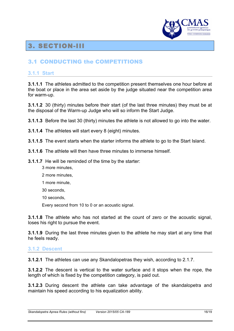

# 3. SECTION-III

## 3.1 CONDUCTING the COMPETITIONS

#### **3.1.1 Start**

**3.1.1.1** The athletes admitted to the competition present themselves one hour before at the boat or place in the area set aside by the judge situated near the competition area for warm-up.

**3.1.1.2** 30 (thirty) minutes before their start (of the last three minutes) they must be at the disposal of the Warm-up Judge who will so inform the Start Judge.

**3.1.1.3** Before the last 30 (thirty) minutes the athlete is not allowed to go into the water.

**3.1.1.4** The athletes will start every 8 (eight) minutes.

**3.1.1.5** The event starts when the starter informs the athlete to go to the Start Island.

**3.1.1.6** The athlete will then have three minutes to immerse himself.

**3.1.1.7** He will be reminded of the time by the starter:

- 3 more minutes,
- 2 more minutes,
- 1 more minute,
- 30 seconds,
- 10 seconds,

Every second from 10 to 0 or an acoustic signal.

**3.1.1.8** The athlete who has not started at the count of zero or the acoustic signal, loses his right to pursue the event.

**3.1.1.9** During the last three minutes given to the athlete he may start at any time that he feels ready.

#### **3.1.2 Descent**

**3.1.2.1** The athletes can use any Skandalopetras they wish, according to 2.1.7.

**3.1.2.2** The descent is vertical to the water surface and it stops when the rope, the length of which is fixed by the competition category, is paid out.

**3.1.2.3** During descent the athlete can take advantage of the skandalopetra and maintain his speed according to his equalization ability.

*Skandalopetra Apnea Rules (without fins) Version 2015/05 CA-189* 16/19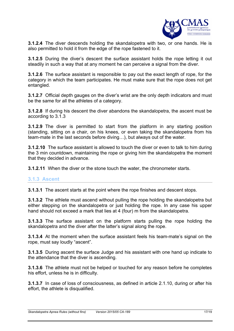

**3.1.2.4** The diver descends holding the skandalopetra with two, or one hands. He is also permitted to hold it from the edge of the rope fastened to it.

**3.1.2.5** During the diver's descent the surface assistant holds the rope letting it out steadily in such a way that at any moment he can perceive a signal from the diver.

**3.1.2.6** The surface assistant is responsible to pay out the exact length of rope, for the category in which the team participates. He must make sure that the rope does not get entangled.

**3.1.2.7** Official depth gauges on the diver's wrist are the only depth indicators and must be the same for all the athletes of a category.

**3.1.2.8** If during his descent the diver abandons the skandalopetra, the ascent must be according to 3.1.3

**3.1.2.9** The diver is permitted to start from the platform in any starting position (standing, sitting on a chair, on his knees, or even taking the skandalopetra from his team-mate in the last seconds before diving…), but always out of the water.

**3.1.2.10** The surface assistant is allowed to touch the diver or even to talk to him during the 3 min countdown, maintaining the rope or giving him the skandalopetra the moment that they decided in advance.

**3.1.2.11** When the diver or the stone touch the water, the chronometer starts.

#### **3.1.3 Ascent**

**3.1.3.1** The ascent starts at the point where the rope finishes and descent stops.

**3.1.3.2** The athlete must ascend without pulling the rope holding the skandalopetra but either stepping on the skandalopetra or just holding the rope. In any case his upper hand should not exceed a mark that lies at 4 (four) m from the skandalopetra.

**3.1.3.3** The surface assistant on the platform starts pulling the rope holding the skandalopetra and the diver after the latter's signal along the rope.

**3.1.3.4** At the moment when the surface assistant feels his team-mate's signal on the rope, must say loudly "ascent".

**3.1.3.5** During ascent the surface Judge and his assistant with one hand up indicate to the attendance that the diver is ascending.

**3.1.3.6** The athlete must not be helped or touched for any reason before he completes his effort, unless he is in difficulty.

**3.1.3.7** In case of loss of consciousness, as defined in article 2.1.10, during or after his effort, the athlete is disqualified.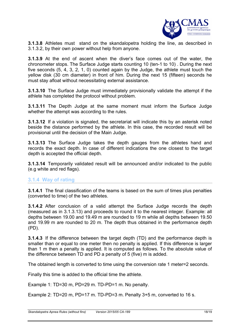

**3.1.3.8** Athletes must stand on the skandalopetra holding the line, as described in 3.1.3.2, by their own power without help from anyone.

**3.1.3.9** At the end of ascent when the diver's face comes out of the water, the chronometer stops. The Surface Judge starts counting 10 (ten-1 to 10) . During the next five seconds (5, 4, 3, 2, 1, 0) counted again by the Judge, the athlete must touch the yellow disk (30 cm diameter) in front of him. During the next 15 (fifteen) seconds he must stay afloat without necessitating external assistance.

**3.1.3.10** The Surface Judge must immediately provisionally validate the attempt if the athlete has completed the protocol without problem.

**3.1.3.11** The Depth Judge at the same moment must inform the Surface Judge whether the attempt was according to the rules.

**3.1.3.12** If a violation is signaled, the secretariat will indicate this by an asterisk noted beside the distance performed by the athlete. In this case, the recorded result will be provisional until the decision of the Main Judge.

**3.1.3.13** The Surface Judge takes the depth gauges from the athletes hand and records the exact depth. In case of different indications the one closest to the target depth is accepted the official depth.

**3.1.3.14** Temporarily validated result will be announced and/or indicated to the public (e.g white and red flags).

#### **3.1.4 Way of rating**

**3.1.4.1** The final classification of the teams is based on the sum of times plus penalties (converted to time) of the two athletes.

**3.1.4.2** After conclusion of a valid attempt the Surface Judge records the depth (measured as in 3.1.3.13) and proceeds to round it to the nearest integer. Example: all depths between 19.00 and 19.49 m are rounded to 19 m while all depths between 19.50 and 19.99 m are rounded to 20 m. The depth thus obtained in the performance depth (PD).

**3.1.4.3** If the difference between the target depth (TD) and the performance depth is smaller than or equal to one meter then no penalty is applied. If this difference is larger than 1 m then a penalty is applied. It is computed as follows. To the absolute value of the difference between TD and PD a penalty of 5 (five) m is added.

The obtained length is converted to time using the conversion rate 1 meter=2 seconds.

Finally this time is added to the official time the athlete.

Example 1: TD=30 m, PD=29 m. TD-PD=1 m. No penalty.

Example 2: TD=20 m, PD=17 m. TD-PD=3 m. Penalty 3+5 m, converted to 16 s.